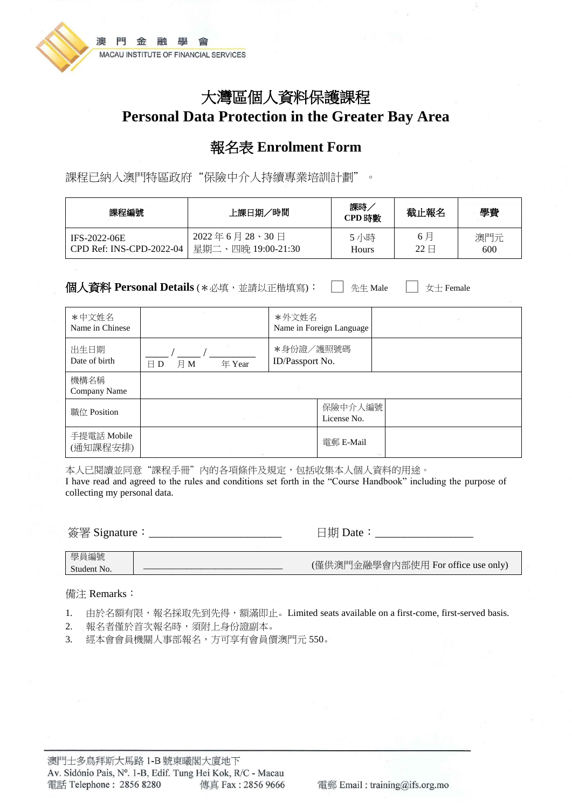

# 大灣區個人資料保護課程 **Personal Data Protection in the Greater Bay Area**

## 報名表 **Enrolment Form**

課程已納入澳門特區政府"保險中介人持續專業培訓計劃"。

| 課程編號                     | ′時間<br>上課日期/       | 課時<br>CPD 時數 | 截止報名                  | 學費  |
|--------------------------|--------------------|--------------|-----------------------|-----|
| IFS-2022-06E             | 2022年6月28、30日      | 5 小時         | 6 月                   | 澳門元 |
| CPD Ref: INS-CPD-2022-04 | 星期二、四晚 19:00-21:30 | <b>Hours</b> | $22 \text{ } \square$ | 600 |

**個人資料 Personal Details** (\*必填,並請以正楷填寫): □ 先生 Male □ 女士 Female

| *中文姓名<br>Name in Chinese |                               | *外文姓名                        | Name in Foreign Language |  |
|--------------------------|-------------------------------|------------------------------|--------------------------|--|
| 出生日期<br>Date of birth    | 月M<br>年 Year<br>$\boxminus$ D | *身份證/護照號碼<br>ID/Passport No. |                          |  |
| 機構名稱<br>Company Name     |                               |                              |                          |  |
| 職位 Position              | SCHOOL SECTION                |                              | 保險中介人編號<br>License No.   |  |
| 手提電話 Mobile<br>(通知課程安排)  |                               |                              | 電郵 E-Mail                |  |

本人已閱讀並同意"課程手冊"內的各項條件及規定,包括收集本人個人資料的用途。 I have read and agreed to the rules and conditions set forth in the "Course Handbook" including the purpose of collecting my personal data.

簽署 Signature:\_\_\_\_\_\_\_\_\_\_\_\_\_\_\_\_\_\_\_\_\_\_\_ 日期 Date:\_\_\_\_\_\_\_\_\_\_\_\_\_\_\_\_\_

#### 備注 Remarks:

- 1. 由於名額有限,報名採取先到先得,額滿即止。Limited seats available on a first-come, first-served basis.
- 2. 報名者僅於首次報名時,須附上身份證副本。
- 3. 經本會會員機關人事部報名,方可享有會員價澳門元 550。